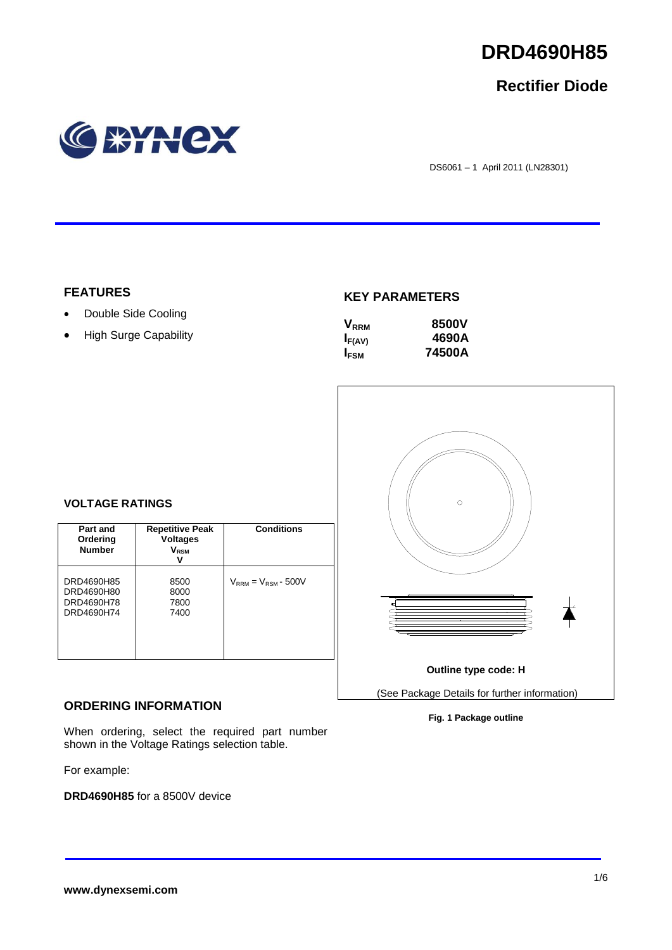

## **Rectifier Diode**



DS6061 – 1 April 2011 (LN28301)

## **FEATURES**

- Double Side Cooling
- High Surge Capability

## **KEY PARAMETERS**

| $\mathsf{V}_{\scriptscriptstyle\sf RRM}$ | 8500V  |
|------------------------------------------|--------|
| $I_{F(AV)}$                              | 4690A  |
| <b>IFSM</b>                              | 74500A |



## **VOLTAGE RATINGS**

| Part and<br>Ordering<br><b>Number</b>                | <b>Repetitive Peak</b><br><b>Voltages</b><br>$\mathsf{V}_\mathsf{RSM}$<br>v | <b>Conditions</b>          |
|------------------------------------------------------|-----------------------------------------------------------------------------|----------------------------|
| DRD4690H85<br>DRD4690H80<br>DRD4690H78<br>DRD4690H74 | 8500<br>8000<br>7800<br>7400                                                | $V_{RRM} = V_{RSM}$ - 500V |

## **ORDERING INFORMATION**

When ordering, select the required part number shown in the Voltage Ratings selection table.

For example:

**DRD4690H85** for a 8500V device

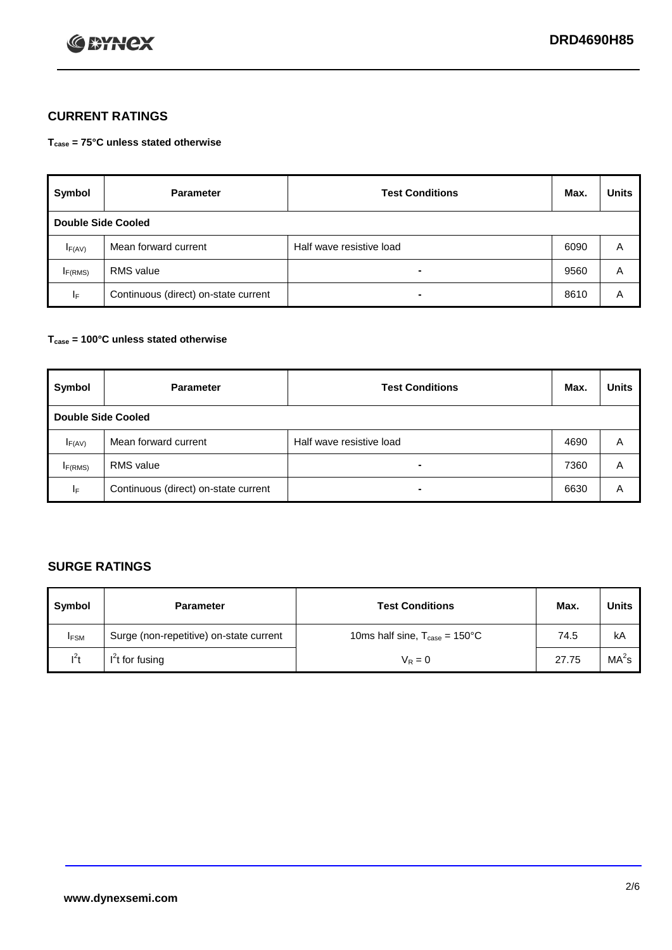

## **CURRENT RATINGS**

**Tcase = 75°C unless stated otherwise**

| Symbol              | <b>Parameter</b>                     | <b>Test Conditions</b>   | Max. | <b>Units</b> |  |  |
|---------------------|--------------------------------------|--------------------------|------|--------------|--|--|
|                     | Double Side Cooled                   |                          |      |              |  |  |
| $I_{F(AV)}$         | Mean forward current                 | Half wave resistive load | 6090 | A            |  |  |
| I <sub>F(RMS)</sub> | <b>RMS</b> value                     | -                        | 9560 | Α            |  |  |
| IF.                 | Continuous (direct) on-state current | -                        | 8610 | Α            |  |  |

### **Tcase = 100°C unless stated otherwise**

| Symbol              | <b>Parameter</b>                     | <b>Test Conditions</b>   | Max. | <b>Units</b> |  |  |
|---------------------|--------------------------------------|--------------------------|------|--------------|--|--|
|                     | <b>Double Side Cooled</b>            |                          |      |              |  |  |
| $I_{F(AV)}$         | Mean forward current                 | Half wave resistive load | 4690 | Α            |  |  |
| I <sub>F(RMS)</sub> | <b>RMS</b> value                     | $\overline{\phantom{0}}$ | 7360 | A            |  |  |
| IF                  | Continuous (direct) on-state current | ۰                        | 6630 | A            |  |  |

## **SURGE RATINGS**

| Symbol      | <b>Parameter</b>                        | <b>Test Conditions</b>                            | Max.  | <b>Units</b>      |
|-------------|-----------------------------------------|---------------------------------------------------|-------|-------------------|
| <b>IFSM</b> | Surge (non-repetitive) on-state current | 10ms half sine, $T_{\text{case}} = 150^{\circ}$ C | 74.5  | kA                |
| $l^2t$      | I <sup>'</sup> t for fusing             | $V_R = 0$                                         | 27.75 | MA <sup>2</sup> s |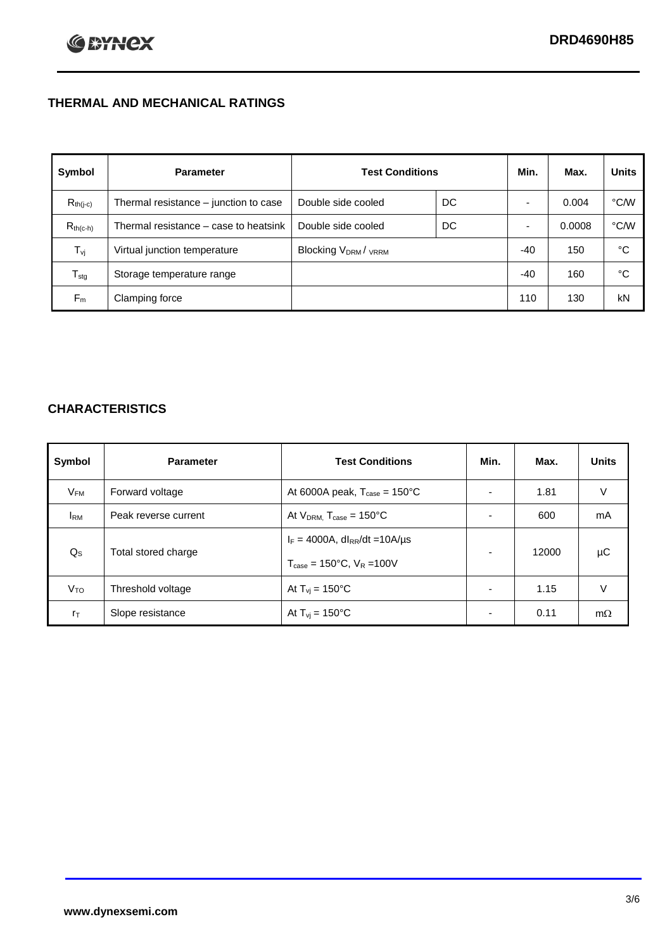## **THERMAL AND MECHANICAL RATINGS**

| Symbol           | <b>Parameter</b>                      | <b>Test Conditions</b>                      |    | Min.  | Max.   | <b>Units</b> |
|------------------|---------------------------------------|---------------------------------------------|----|-------|--------|--------------|
| $R_{th(j-c)}$    | Thermal resistance – junction to case | Double side cooled                          | DC |       | 0.004  | °C/W         |
| $R_{th(c-h)}$    | Thermal resistance – case to heatsink | Double side cooled                          | DC |       | 0.0008 | °C/W         |
| $T_{\rm vj}$     | Virtual junction temperature          | Blocking V <sub>DRM</sub> / <sub>VRRM</sub> |    | $-40$ | 150    | °C           |
| $T_{\text{stg}}$ | Storage temperature range             |                                             |    | $-40$ | 160    | °C           |
| $F_m$            | Clamping force                        |                                             |    | 110   | 130    | kN           |

## **CHARACTERISTICS**

| Symbol                   | <b>Parameter</b>     | <b>Test Conditions</b>                           | Min.           | Max.  | <b>Units</b> |
|--------------------------|----------------------|--------------------------------------------------|----------------|-------|--------------|
| $\mathsf{V}_\mathsf{FM}$ | Forward voltage      | At 6000A peak, $T_{\text{case}} = 150^{\circ}$ C |                | 1.81  | V            |
| <b>I</b> <sub>RM</sub>   | Peak reverse current | At $V_{DRM}$ , $T_{case} = 150^{\circ}$ C        | ۰              | 600   | mA           |
| $Q_{\rm S}$              | Total stored charge  | $I_F = 4000A$ , dl <sub>RR</sub> /dt = 10A/us    | ۰.             | 12000 | μC           |
|                          |                      | $T_{\text{case}} = 150^{\circ}$ C, $V_R = 100V$  |                |       |              |
| V <sub>TO</sub>          | Threshold voltage    | At $T_{vi} = 150^{\circ}$ C                      | $\blacksquare$ | 1.15  | V            |
| $r_{\text{T}}$           | Slope resistance     | At $T_{vi} = 150^{\circ}$ C                      | $\blacksquare$ | 0.11  | $m\Omega$    |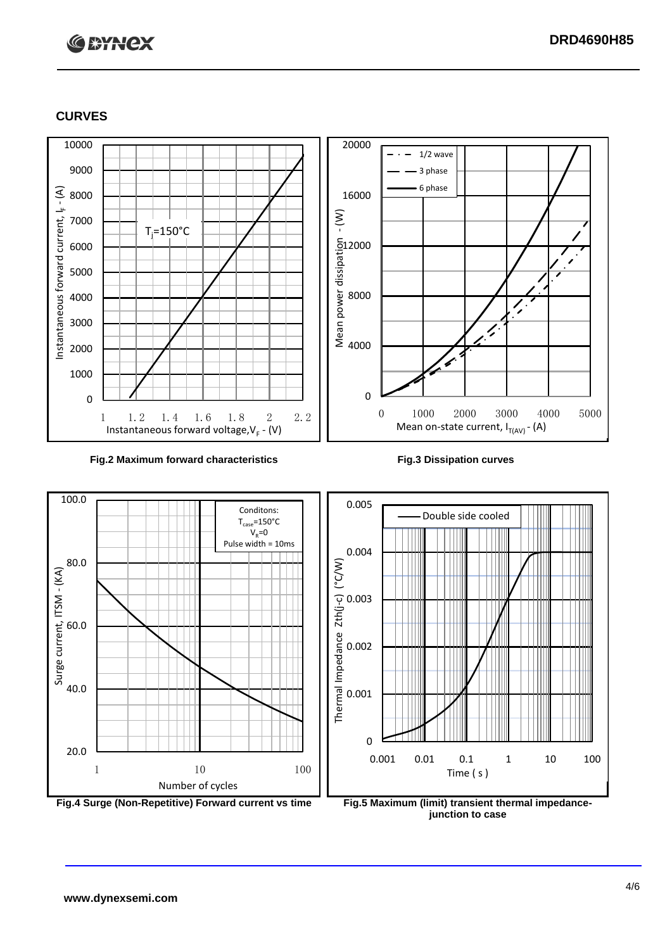# **C BYNCX**

## **CURVES**



### **Fig.2 Maximum forward characteristics Fig.3 Dissipation curves**



**junction to case**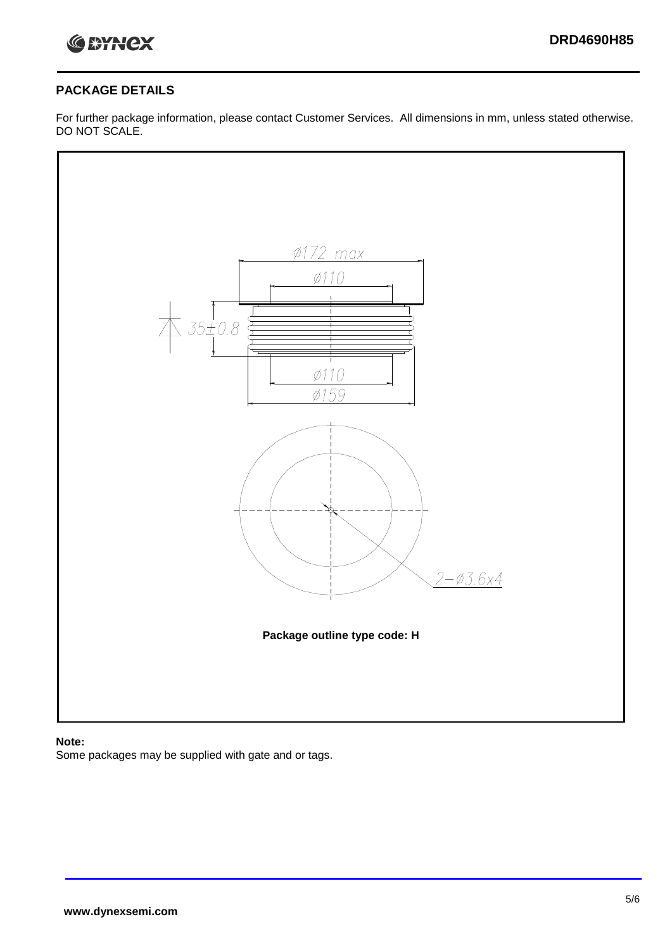

## **PACKAGE DETAILS**

For further package information, please contact Customer Services. All dimensions in mm, unless stated otherwise. DO NOT SCALE.



## **Note:**

Some packages may be supplied with gate and or tags.